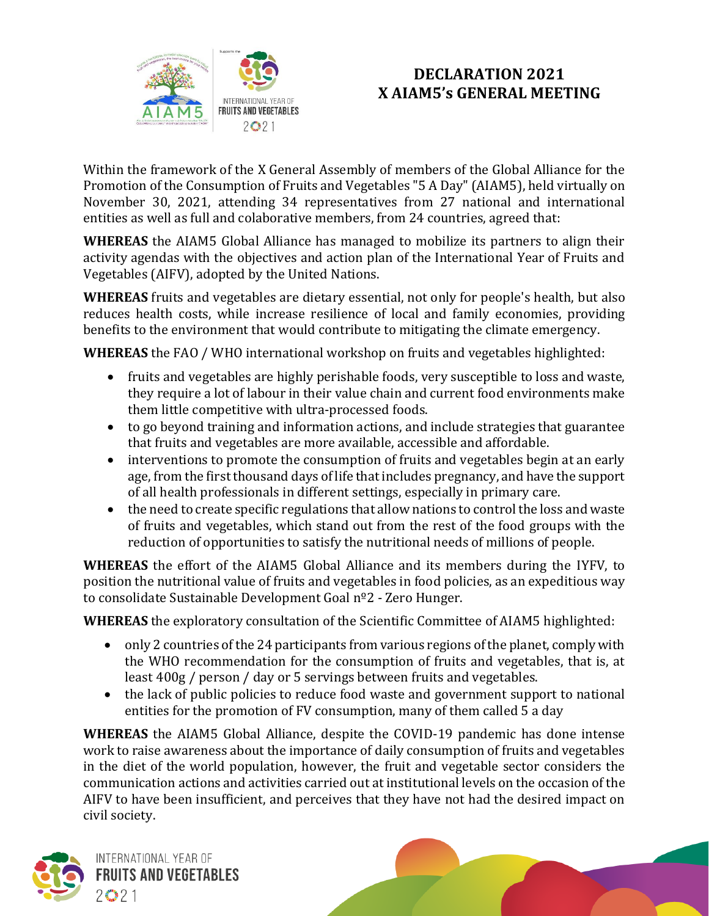

Within the framework of the X General Assembly of members of the Global Alliance for the Promotion of the Consumption of Fruits and Vegetables "5 A Day" (AIAM5), held virtually on November 30, 2021, attending 34 representatives from 27 national and international entities as well as full and colaborative members, from 24 countries, agreed that:

**WHEREAS** the AIAM5 Global Alliance has managed to mobilize its partners to align their activity agendas with the objectives and action plan of the International Year of Fruits and Vegetables (AIFV), adopted by the United Nations.

**WHEREAS** fruits and vegetables are dietary essential, not only for people's health, but also reduces health costs, while increase resilience of local and family economies, providing benefits to the environment that would contribute to mitigating the climate emergency.

**WHEREAS** the FAO / WHO international workshop on fruits and vegetables highlighted:

- fruits and vegetables are highly perishable foods, very susceptible to loss and waste, they require a lot of labour in their value chain and current food environments make them little competitive with ultra-processed foods.
- to go beyond training and information actions, and include strategies that guarantee that fruits and vegetables are more available, accessible and affordable.
- interventions to promote the consumption of fruits and vegetables begin at an early age, from the first thousand days of life that includes pregnancy, and have the support of all health professionals in different settings, especially in primary care.
- the need to create specific regulations that allow nations to control the loss and waste of fruits and vegetables, which stand out from the rest of the food groups with the reduction of opportunities to satisfy the nutritional needs of millions of people.

**WHEREAS** the effort of the AIAM5 Global Alliance and its members during the IYFV, to position the nutritional value of fruits and vegetables in food policies, as an expeditious way to consolidate Sustainable Development Goal nº2 - Zero Hunger.

**WHEREAS** the exploratory consultation of the Scientific Committee of AIAM5 highlighted:

- only 2 countries of the 24 participants from various regions of the planet, comply with the WHO recommendation for the consumption of fruits and vegetables, that is, at least 400g / person / day or 5 servings between fruits and vegetables.
- the lack of public policies to reduce food waste and government support to national entities for the promotion of FV consumption, many of them called 5 a day

**WHEREAS** the AIAM5 Global Alliance, despite the COVID-19 pandemic has done intense work to raise awareness about the importance of daily consumption of fruits and vegetables in the diet of the world population, however, the fruit and vegetable sector considers the communication actions and activities carried out at institutional levels on the occasion of the AIFV to have been insufficient, and perceives that they have not had the desired impact on civil society.

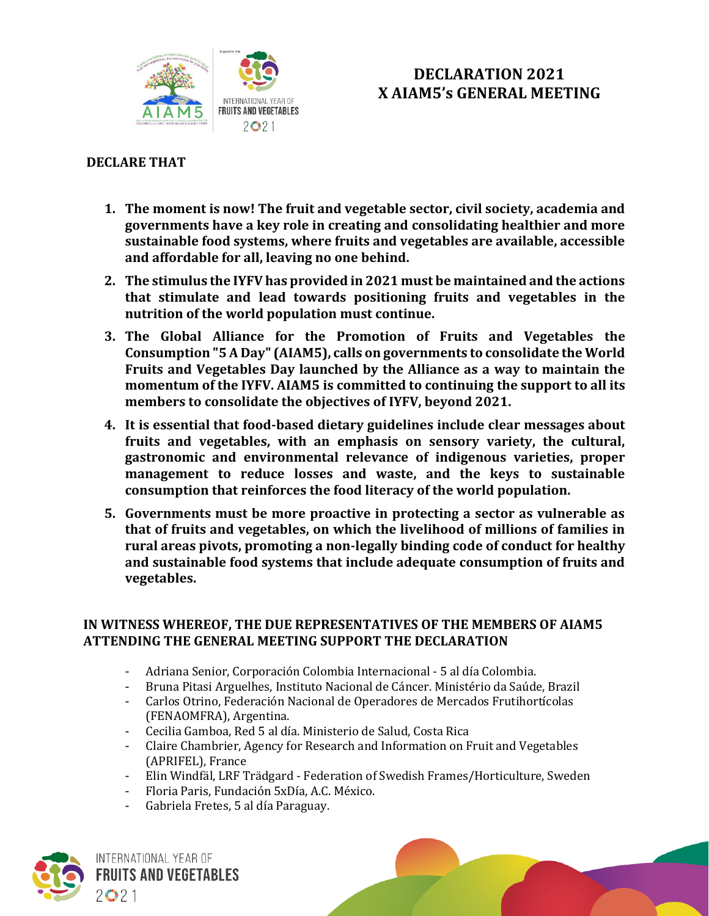

### **DECLARE THAT**

- **1. The moment is now! The fruit and vegetable sector, civil society, academia and governments have a key role in creating and consolidating healthier and more sustainable food systems, where fruits and vegetables are available, accessible and affordable for all, leaving no one behind.**
- **2. The stimulus the IYFV has provided in 2021 must be maintained and the actions that stimulate and lead towards positioning fruits and vegetables in the nutrition of the world population must continue.**
- **3. The Global Alliance for the Promotion of Fruits and Vegetables the Consumption "5 A Day" (AIAM5), calls on governments to consolidate the World Fruits and Vegetables Day launched by the Alliance as a way to maintain the momentum of the IYFV. AIAM5 is committed to continuing the support to all its members to consolidate the objectives of IYFV, beyond 2021.**
- **4. It is essential that food-based dietary guidelines include clear messages about fruits and vegetables, with an emphasis on sensory variety, the cultural, gastronomic and environmental relevance of indigenous varieties, proper management to reduce losses and waste, and the keys to sustainable consumption that reinforces the food literacy of the world population.**
- **5. Governments must be more proactive in protecting a sector as vulnerable as that of fruits and vegetables, on which the livelihood of millions of families in rural areas pivots, promoting a non-legally binding code of conduct for healthy and sustainable food systems that include adequate consumption of fruits and vegetables.**

#### **IN WITNESS WHEREOF, THE DUE REPRESENTATIVES OF THE MEMBERS OF AIAM5 ATTENDING THE GENERAL MEETING SUPPORT THE DECLARATION**

- Adriana Senior, Corporación Colombia Internacional 5 al día Colombia.
- Bruna Pitasi Arguelhes, Instituto Nacional de Cáncer. Ministério da Saúde, Brazil
- Carlos Otrino, Federación Nacional de Operadores de Mercados Frutihortícolas (FENAOMFRA), Argentina.
- Cecilia Gamboa, Red 5 al día. Ministerio de Salud, Costa Rica
- Claire Chambrier, Agency for Research and Information on Fruit and Vegetables (APRIFEL), France
- Elin Windfäl, LRF Trädgard Federation of Swedish Frames/Horticulture, Sweden
- Floria Paris, Fundación 5xDía, A.C. México.
- Gabriela Fretes, 5 al día Paraguay.

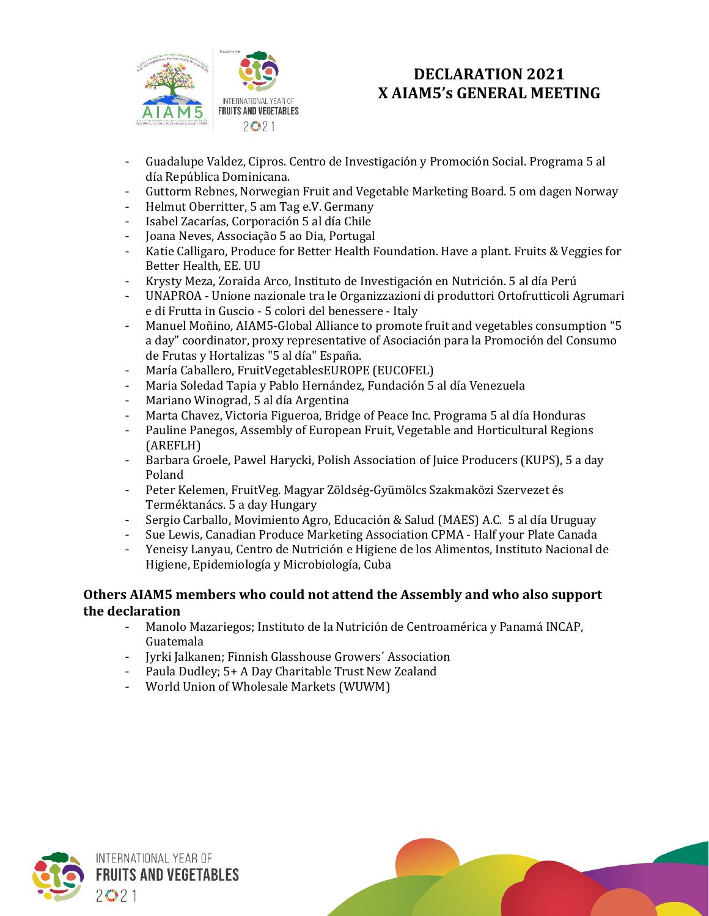

- Guadalupe Valdez, Cipros. Centro de Investigación y Promoción Social. Programa 5 al día República Dominicana.
- Guttorm Rebnes, Norwegian Fruit and Vegetable Marketing Board. 5 om dagen Norway
- Helmut Oberritter, 5 am Tag e.V. Germany
- Isabel Zacarías, Corporación 5 al día Chile
- Joana Neves, Associação 5 ao Dia, Portugal
- Katie Calligaro, Produce for Better Health Foundation. Have a plant. Fruits & Veggies for Better Health, EE. UU
- Krysty Meza, Zoraida Arco, Instituto de Investigación en Nutrición. 5 al día Perú
- UNAPROA Unione nazionale tra le Organizzazioni di produttori Ortofrutticoli Agrumari e di Frutta in Guscio - 5 colori del benessere - Italy
- Manuel Moñino, AIAM5-Global Alliance to promote fruit and vegetables consumption "5 a day" coordinator, proxy representative of Asociación para la Promoción del Consumo de Frutas y Hortalizas "5 al día" España.
- María Caballero, FruitVegetablesEUROPE (EUCOFEL)
- Maria Soledad Tapia y Pablo Hernández, Fundación 5 al día Venezuela
- Mariano Winograd, 5 al día Argentina
- Marta Chavez, Victoria Figueroa, Bridge of Peace Inc. Programa 5 al día Honduras
- Pauline Panegos, Assembly of European Fruit, Vegetable and Horticultural Regions (AREFLH)
- Barbara Groele, Pawel Harycki, Polish Association of Juice Producers (KUPS), 5 a day Poland
- Peter Kelemen, FruitVeg. Magyar Zöldség-Gyümölcs Szakmaközi Szervezet és Terméktanács. 5 a day Hungary
- Sergio Carballo, Movimiento Agro, Educación & Salud (MAES) A.C. 5 al día Uruguay
- Sue Lewis, Canadian Produce Marketing Association CPMA Half your Plate Canada
- Yeneisy Lanyau, Centro de Nutrición e Higiene de los Alimentos, Instituto Nacional de Higiene, Epidemiología y Microbiología, Cuba

#### **Others AIAM5 members who could not attend the Assembly and who also support the declaration**

- Manolo Mazariegos; Instituto de la Nutrición de Centroamérica y Panamá INCAP, Guatemala
- Jyrki Jalkanen; Finnish Glasshouse Growers´ Association
- Paula Dudley; 5+ A Day Charitable Trust New Zealand
- World Union of Wholesale Markets (WUWM)

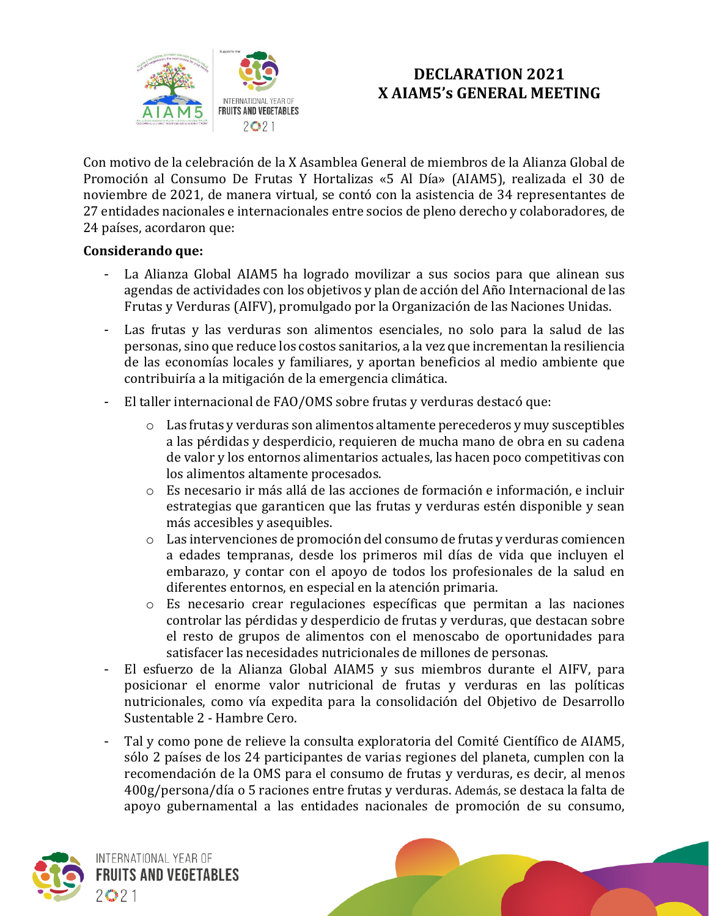

Con motivo de la celebración de la X Asamblea General de miembros de la Alianza Global de Promoción al Consumo De Frutas Y Hortalizas «5 Al Día» (AIAM5), realizada el 30 de noviembre de 2021, de manera virtual, se contó con la asistencia de 34 representantes de 27 entidades nacionales e internacionales entre socios de pleno derecho y colaboradores, de 24 países, acordaron que:

#### **Considerando que:**

- La Alianza Global AIAM5 ha logrado movilizar a sus socios para que alinean sus agendas de actividades con los objetivos y plan de acción del Año Internacional de las Frutas y Verduras (AIFV), promulgado por la Organización de las Naciones Unidas.
- Las frutas y las verduras son alimentos esenciales, no solo para la salud de las personas, sino que reduce los costos sanitarios, a la vez que incrementan la resiliencia de las economías locales y familiares, y aportan beneficios al medio ambiente que contribuiría a la mitigación de la emergencia climática.
- El taller internacional de FAO/OMS sobre frutas y verduras destacó que:
	- o Las frutas y verduras son alimentos altamente perecederos y muy susceptibles a las pérdidas y desperdicio, requieren de mucha mano de obra en su cadena de valor y los entornos alimentarios actuales, las hacen poco competitivas con los alimentos altamente procesados.
	- o Es necesario ir más allá de las acciones de formación e información, e incluir estrategias que garanticen que las frutas y verduras estén disponible y sean más accesibles y asequibles.
	- o Las intervenciones de promoción del consumo de frutas y verduras comiencen a edades tempranas, desde los primeros mil días de vida que incluyen el embarazo, y contar con el apoyo de todos los profesionales de la salud en diferentes entornos, en especial en la atención primaria.
	- o Es necesario crear regulaciones específicas que permitan a las naciones controlar las pérdidas y desperdicio de frutas y verduras, que destacan sobre el resto de grupos de alimentos con el menoscabo de oportunidades para satisfacer las necesidades nutricionales de millones de personas.
- El esfuerzo de la Alianza Global AIAM5 y sus miembros durante el AIFV, para posicionar el enorme valor nutricional de frutas y verduras en las políticas nutricionales, como vía expedita para la consolidación del Objetivo de Desarrollo Sustentable 2 - Hambre Cero.
- Tal y como pone de relieve la consulta exploratoria del Comité Científico de AIAM5, sólo 2 países de los 24 participantes de varias regiones del planeta, cumplen con la recomendación de la OMS para el consumo de frutas y verduras, es decir, al menos 400g/persona/día o 5 raciones entre frutas y verduras. Además, se destaca la falta de apoyo gubernamental a las entidades nacionales de promoción de su consumo,